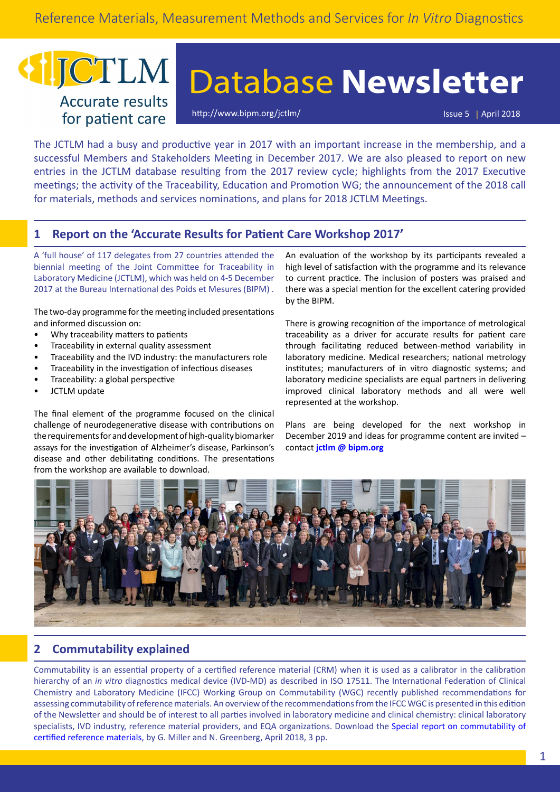## JCTLM **Accurate results** for patient care

# Database **Newsletter**

[http://www.bipm.org/jctlm/](https://www.bipm.org/jctlm/) Issue 5 | April 2018

The JCTLM had a busy and productive year in 2017 with an important increase in the membership, and a successful Members and Stakeholders Meeting in December 2017. We are also pleased to report on new entries in the JCTLM database resulting from the 2017 review cycle; highlights from the 2017 Executive meetings; the activity of the Traceability, Education and Promotion WG; the announcement of the 2018 call for materials, methods and services nominations, and plans for 2018 JCTLM Meetings.

## **1 Report on the 'Accurate Results for Patient Care Workshop 2017'**

A 'full house' of 117 delegates from 27 countries attended the biennial meeting of the Joint Committee for Traceability in Laboratory Medicine (JCTLM), which was held on 4-5 December 2017 at the Bureau International des Poids et Mesures (BIPM) .

The two-day programme for the meeting included presentations and informed discussion on:

- Why traceability matters to patients
- Traceability in external quality assessment
- Traceability and the IVD industry: the manufacturers role
- Traceability in the investigation of infectious diseases
- Traceability: a global perspective
- JCTLM update

The final element of the programme focused on the clinical challenge of neurodegenerative disease with contributions on the requirements for and development of high-quality biomarker assays for the investigation of Alzheimer's disease, Parkinson's disease and other debilitating conditions. The presentations from the workshop are available to [download.](https://www.bipm.org/cc/AllowedDocuments.jsp?cc=JCTLM)

An evaluation of the workshop by its participants revealed a high level of satisfaction with the programme and its relevance to current practice. The inclusion of posters was praised and there was a special mention for the excellent catering provided by the BIPM.

There is growing recognition of the importance of metrological traceability as a driver for accurate results for patient care through facilitating reduced between-method variability in laboratory medicine. Medical researchers; national metrology institutes; manufacturers of in vitro diagnostic systems; and laboratory medicine specialists are equal partners in delivering improved clinical laboratory methods and all were well represented at the workshop.

Plans are being developed for the next workshop in December 2019 and ideas for programme content are invited – contact **[jctlm @ bipm.org](mailto:jctlm%40bipm.org?subject=)**



## **2 Commutability explained**

Commutability is an essential property of a certified reference material (CRM) when it is used as a calibrator in the calibration hierarchy of an *in vitro* diagnostics medical device (IVD-MD) as described in ISO 17511. The International Federation of Clinical Chemistry and Laboratory Medicine (IFCC) Working Group on Commutability (WGC) recently published recommendations for assessing commutability of reference materials. An overview of the recommendations from the IFCC WGC is presented in this edition of the Newsletter and should be of interest to all parties involved in laboratory medicine and clinical chemistry: clinical laboratory specialists, IVD industry, reference material providers, and EQA organizations. Download the [Special report on commutability of](https://www.bipm.org/utils/common/pdf/JCTLM/JCTLM_Newsletter_2018_Special_Report.pdf) [certified reference materials,](https://www.bipm.org/utils/common/pdf/JCTLM/JCTLM_Newsletter_2018_Special_Report.pdf) by G. Miller and N. Greenberg, April 2018, 3 pp.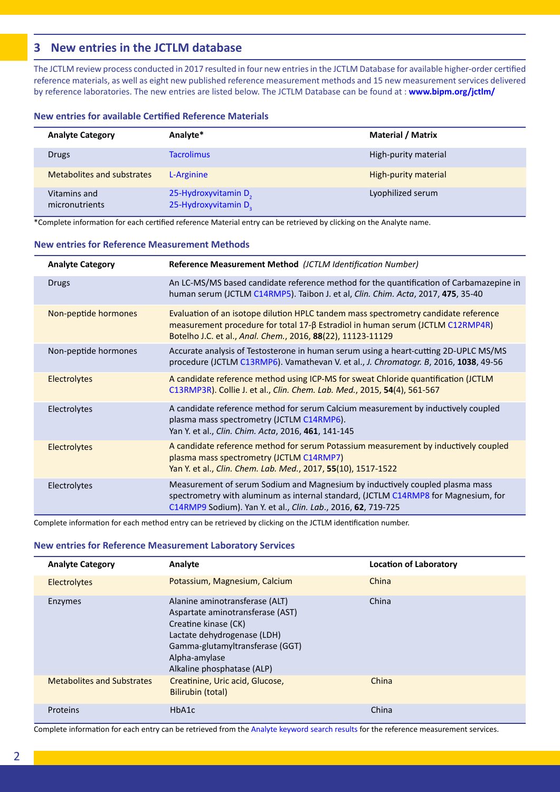## **3 New entries in the JCTLM database**

The JCTLM review process conducted in 2017 resulted in four new entries in the JCTLM Database for available higher-order certified reference materials, as well as eight new published reference measurement methods and 15 new measurement services delivered by reference laboratories. The new entries are listed below. The JCTLM Database can be found at : **[www.bipm.org/jctlm/](https://www.bipm.org/jctlm/)**

#### **New entries for available Certified Reference Materials**

| <b>Analyte Category</b>        | Analyte*                                                             | <b>Material / Matrix</b> |
|--------------------------------|----------------------------------------------------------------------|--------------------------|
| Drugs                          | <b>Tacrolimus</b>                                                    | High-purity material     |
| Metabolites and substrates     | L-Arginine                                                           | High-purity material     |
| Vitamins and<br>micronutrients | 25-Hydroxyvitamin D <sub>2</sub><br>25-Hydroxyvitamin D <sub>3</sub> | Lyophilized serum        |

\*Complete information for each certified reference Material entry can be retrieved by clicking on the Analyte name.

#### **New entries for Reference Measurement Methods**

| <b>Analyte Category</b> | Reference Measurement Method (JCTLM Identification Number)                                                                                                                                                                           |
|-------------------------|--------------------------------------------------------------------------------------------------------------------------------------------------------------------------------------------------------------------------------------|
| Drugs                   | An LC-MS/MS based candidate reference method for the quantification of Carbamazepine in<br>human serum (JCTLM C14RMP5). Taibon J. et al, Clin. Chim. Acta, 2017, 475, 35-40                                                          |
| Non-peptide hormones    | Evaluation of an isotope dilution HPLC tandem mass spectrometry candidate reference<br>measurement procedure for total 17-β Estradiol in human serum (JCTLM C12RMP4R)<br>Botelho J.C. et al., Anal. Chem., 2016, 88(22), 11123-11129 |
| Non-peptide hormones    | Accurate analysis of Testosterone in human serum using a heart-cutting 2D-UPLC MS/MS<br>procedure (JCTLM C13RMP6). Vamathevan V. et al., J. Chromatogr. B, 2016, 1038, 49-56                                                         |
| Electrolytes            | A candidate reference method using ICP-MS for sweat Chloride quantification (JCTLM<br>C13RMP3R). Collie J. et al., Clin. Chem. Lab. Med., 2015, 54(4), 561-567                                                                       |
| Electrolytes            | A candidate reference method for serum Calcium measurement by inductively coupled<br>plasma mass spectrometry (JCTLM C14RMP6).<br>Yan Y. et al., Clin. Chim. Acta, 2016, 461, 141-145                                                |
| Electrolytes            | A candidate reference method for serum Potassium measurement by inductively coupled<br>plasma mass spectrometry (JCTLM C14RMP7)<br>Yan Y. et al., Clin. Chem. Lab. Med., 2017, 55(10), 1517-1522                                     |
| Electrolytes            | Measurement of serum Sodium and Magnesium by inductively coupled plasma mass<br>spectrometry with aluminum as internal standard, (JCTLM C14RMP8 for Magnesium, for<br>C14RMP9 Sodium). Yan Y. et al., Clin. Lab., 2016, 62, 719-725  |

Complete information for each method entry can be retrieved by clicking on the JCTLM identification number.

#### **New entries for Reference Measurement Laboratory Services**

| <b>Analyte Category</b>           | Analyte                                                                                                                                                                                                     | <b>Location of Laboratory</b> |
|-----------------------------------|-------------------------------------------------------------------------------------------------------------------------------------------------------------------------------------------------------------|-------------------------------|
| Electrolytes                      | Potassium, Magnesium, Calcium                                                                                                                                                                               | China                         |
| Enzymes                           | Alanine aminotransferase (ALT)<br>Aspartate aminotransferase (AST)<br>Creatine kinase (CK)<br>Lactate dehydrogenase (LDH)<br>Gamma-glutamyltransferase (GGT)<br>Alpha-amylase<br>Alkaline phosphatase (ALP) | China                         |
| <b>Metabolites and Substrates</b> | Creatinine, Uric acid, Glucose,<br>Bilirubin (total)                                                                                                                                                        | China                         |
| Proteins                          | HbA1c                                                                                                                                                                                                       | China                         |

Complete information for each entry can be retrieved from the [Analyte keyword search results](https://www.bipm.org/jctlm/home.do) for the reference measurement services.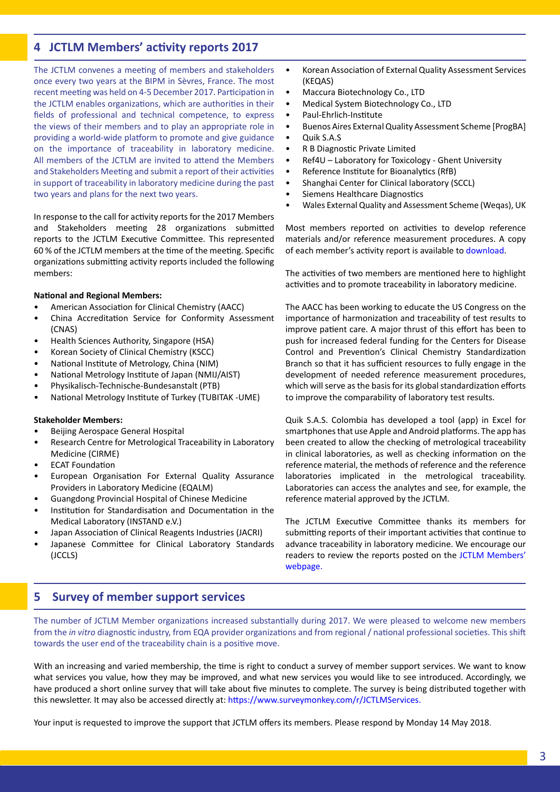## **4 JCTLM Members' activity reports 2017**

The JCTLM convenes a meeting of members and stakeholders once every two years at the BIPM in Sèvres, France. The most recent meeting was held on 4-5 December 2017. Participation in the JCTLM enables organizations, which are authorities in their fields of professional and technical competence, to express the views of their members and to play an appropriate role in providing a world-wide platform to promote and give guidance on the importance of traceability in laboratory medicine. All members of the JCTLM are invited to attend the Members and Stakeholders Meeting and submit a report of their activities in support of traceability in laboratory medicine during the past two years and plans for the next two years.

In response to the call for activity reports for the 2017 Members and Stakeholders meeting 28 organizations submitted reports to the JCTLM Executive Committee. This represented 60 % of the JCTLM members at the time of the meeting. Specific organizations submitting activity reports included the following members:

#### **National and Regional Members:**

- American Association for Clinical Chemistry (AACC)
- China Accreditation Service for Conformity Assessment (CNAS)
- Health Sciences Authority, Singapore (HSA)
- Korean Society of Clinical Chemistry (KSCC)
- National Institute of Metrology, China (NIM)
- National Metrology Institute of Japan (NMIJ/AIST)
- Physikalisch-Technische-Bundesanstalt (PTB)
- National Metrology Institute of Turkey (TUBITAK -UME)

#### **Stakeholder Members:**

- Beijing Aerospace General Hospital
- Research Centre for Metrological Traceability in Laboratory Medicine (CIRME)
- **ECAT Foundation**
- European Organisation For External Quality Assurance Providers in Laboratory Medicine (EQALM)
- Guangdong Provincial Hospital of Chinese Medicine
- Institution for Standardisation and Documentation in the Medical Laboratory (INSTAND e.V.)
- Japan Association of Clinical Reagents Industries (JACRI)
- Japanese Committee for Clinical Laboratory Standards (JCCLS)
- Korean Association of External Quality Assessment Services (KEQAS)
- Maccura Biotechnology Co., LTD
- Medical System Biotechnology Co., LTD
- Paul-Ehrlich-Institute
- Buenos Aires External Quality Assessment Scheme [ProgBA]
- Quik S.A.S
- R B Diagnostic Private Limited
- Ref4U Laboratory for Toxicology Ghent University
- Reference Institute for Bioanalytics (RfB)
- Shanghai Center for Clinical laboratory (SCCL)
- Siemens Healthcare Diagnostics
- Wales External Quality and Assessment Scheme (Weqas), UK

Most members reported on activities to develop reference materials and/or reference measurement procedures. A copy of each member's activity report is available to [download](https://www.bipm.org/en/committees/jc/jctlm/members-jctlm.html#activity-reports).

The activities of two members are mentioned here to highlight activities and to promote traceability in laboratory medicine.

The AACC has been working to educate the US Congress on the importance of harmonization and traceability of test results to improve patient care. A major thrust of this effort has been to push for increased federal funding for the Centers for Disease Control and Prevention's Clinical Chemistry Standardization Branch so that it has sufficient resources to fully engage in the development of needed reference measurement procedures, which will serve as the basis for its global standardization efforts to improve the comparability of laboratory test results.

Quik S.A.S. Colombia has developed a tool (app) in Excel for smartphones that use Apple and Android platforms. The app has been created to allow the checking of metrological traceability in clinical laboratories, as well as checking information on the reference material, the methods of reference and the reference laboratories implicated in the metrological traceability. Laboratories can access the analytes and see, for example, the reference material approved by the JCTLM.

The JCTLM Executive Committee thanks its members for submitting reports of their important activities that continue to advance traceability in laboratory medicine. We encourage our readers to review the reports posted on the [JCTLM Members'](https://www.bipm.org/en/committees/jc/jctlm/members-jctlm.html#activity-reports) [webpage.](https://www.bipm.org/en/committees/jc/jctlm/members-jctlm.html#activity-reports)

## **5 Survey of member support services**

The number of JCTLM Member organizations increased substantially during 2017. We were pleased to welcome new members from the *in vitro* diagnostic industry, from EQA provider organizations and from regional / national professional societies. This shift towards the user end of the traceability chain is a positive move.

With an increasing and varied membership, the time is right to conduct a survey of member support services. We want to know what services you value, how they may be improved, and what new services you would like to see introduced. Accordingly, we have produced a short online survey that will take about five minutes to complete. The survey is being distributed together with this newsletter. It may also be accessed directly at: <https://www.surveymonkey.com/r/JCTLMServices>.

Your input is requested to improve the support that JCTLM offers its members. Please respond by Monday 14 May 2018.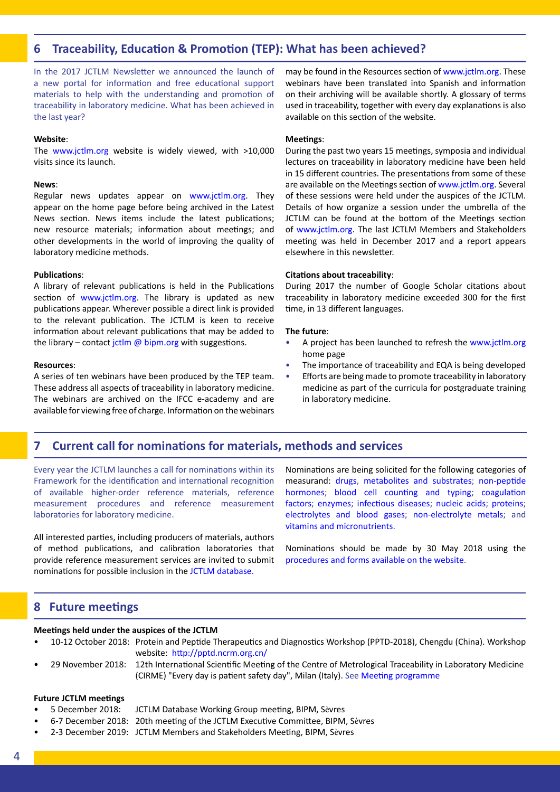## **6 Traceability, Education & Promotion (TEP): What has been achieved?**

In the 2017 JCTLM Newsletter we announced the launch of a new portal for information and free educational support materials to help with the understanding and promotion of traceability in laboratory medicine. What has been achieved in the last year?

#### **Website**:

The [www.jctlm.org](http://www.jctlm.org) website is widely viewed, with >10,000 visits since its launch.

#### **News**:

Regular news updates appear on [www.jctlm.org](http://www.jctlm.org). They appear on the home page before being archived in the Latest News section. News items include the latest publications; new resource materials; information about meetings; and other developments in the world of improving the quality of laboratory medicine methods.

#### **Publications**:

A library of relevant publications is held in the Publications section of www.jctlm.org. The library is updated as new publications appear. Wherever possible a direct link is provided to the relevant publication. The JCTLM is keen to receive information about relevant publications that may be added to the library – contact jctlm  $\omega$  bipm.org with suggestions.

#### **Resources**:

A series of ten webinars have been produced by the TEP team. These address all aspects of traceability in laboratory medicine. The webinars are archived on the IFCC e-academy and are available for viewing free of charge. Information on the webinars may be found in the Resources section of [www.jctlm.org.](http://www.jctlm.org) These webinars have been translated into Spanish and information on their archiving will be available shortly. A glossary of terms used in traceability, together with every day explanations is also available on this section of the website.

#### **Meetings**:

During the past two years 15 meetings, symposia and individual lectures on traceability in laboratory medicine have been held in 15 different countries. The presentations from some of these are available on the Meetings section of<www.jctlm.org.> Several of these sessions were held under the auspices of the JCTLM. Details of how organize a session under the umbrella of the JCTLM can be found at the bottom of the Meetings section of [www.jctlm.org.](http://www.jctlm.org) The last JCTLM Members and Stakeholders meeting was held in December 2017 and a report appears elsewhere in this newsletter.

#### **Citations about traceability**:

During 2017 the number of Google Scholar citations about traceability in laboratory medicine exceeded 300 for the first time, in 13 different languages.

#### **The future**:

- A project has been launched to refresh the [www.jctlm.org](http://www.jctlm.org) home page
- The importance of traceability and EQA is being developed
- Efforts are being made to promote traceability in laboratory medicine as part of the curricula for postgraduate training in laboratory medicine.

### **7 Current call for nominations for materials, methods and services**

Every year the JCTLM launches a call for nominations within its Framework for the identification and international recognition of available higher-order reference materials, reference measurement procedures and reference measurement laboratories for laboratory medicine.

All interested parties, including producers of materials, authors of method publications, and calibration laboratories that provide reference measurement services are invited to submit nominations for possible inclusion in the [JCTLM database.](https://www.bipm.org/jctlm/)

Nominations are being solicited for the following categories of measurand: d[rugs](https://www.bipm.org/en/committees/cc/wg/jctlm-rt-drugs.html), m[etabolites and substrates;](https://www.bipm.org/en/committees/cc/wg/jctlm-rt-metabolites-substrates.html) [non-peptide](https://www.bipm.org/en/committees/cc/wg/jctlm-rt-non-peptide-hormones.html) [hormones](https://www.bipm.org/en/committees/cc/wg/jctlm-rt-non-peptide-hormones.html); [blood cell counting and typing](https://www.bipm.org/en/committees/cc/wg/jctlm-rt-blood-cells.html); [coagulation](https://www.bipm.org/en/committees/cc/wg/jctlm-rt-coagulation-factors.html) [factors](https://www.bipm.org/en/committees/cc/wg/jctlm-rt-coagulation-factors.html); e[nzymes](https://www.bipm.org/en/committees/cc/wg/jctlm-rt-enzymes.html); [infectious diseases](https://www.bipm.org/en/committees/cc/wg/jctlm-rt-infectious-diseases.html); n[ucleic acids;](https://www.bipm.org/en/committees/cc/wg/jctlm-rt-nucleic-acids.html) [proteins;](https://www.bipm.org/en/committees/cc/wg/jctlm-rt-proteins.html) e[lectrolytes and blood gases](https://www.bipm.org/en/committees/cc/wg/jctlm-rt-electrolytes.html); n[on-electrolyte metals](https://www.bipm.org/en/committees/cc/wg/jctlm-rt-non-electrolyte-metals.html); and [vitamins and micronutrients.](https://www.bipm.org/en/committees/cc/wg/jctlm-rt-vitamins.html)

Nominations should be made by 30 May 2018 using the [procedures and forms available on the website](https://www.bipm.org/en/committees/jc/jctlm/jctlm-nominations-and-review.html).

#### **8 Future meetings**

#### **Meetings held under the auspices of the JCTLM**

- 10-12 October 2018: Protein and Peptide Therapeutics and Diagnostics Workshop (PPTD-2018), Chengdu (China). Workshop website: <http://pptd.ncrm.org.cn/>
- 29 November 2018: 12th International Scientific Meeting of the Centre of Metrological Traceability in Laboratory Medicine (CIRME) "Every day is patient safety day", Milan (Italy). See [Meeting programme](http://users.unimi.it/cirme/public/UploadAttach/CIRME 2018/XII CIRME Meeting_programme.pdf)

#### **Future JCTLM meetings**

- 5 December 2018: JCTLM Database Working Group meeting, BIPM, Sèvres
	- 6-7 December 2018: 20th meeting of the JCTLM Executive Committee, BIPM, Sèvres
- 2-3 December 2019: JCTLM Members and Stakeholders Meeting, BIPM, Sèvres